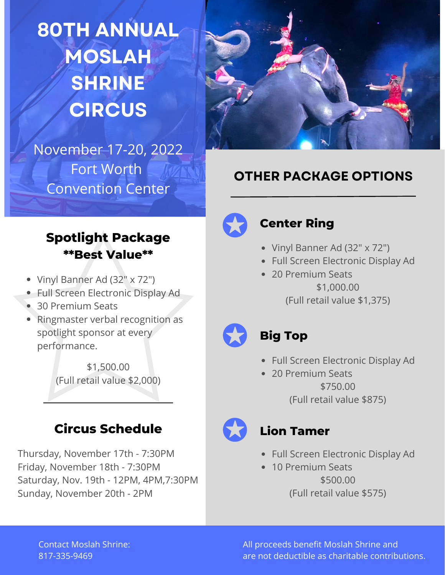**80TH ANNUAL MOSLAH SHRINE CIRCUS**



# November 17-20, 2022 Fort Worth Convention Center

## **OTHER PACKAGE OPTIONS**

### **Spotlight Package \*\*Best Value\*\***

- Vinyl Banner Ad (32" x 72")
- Full Screen Electronic Display Ad
- 30 Premium Seats
- Ringmaster verbal recognition as spotlight sponsor at every performance.

\$1,500.00 (Full retail value \$2,000)

# **Circus Schedule**

Thursday, November 17th -7:30PM Friday, November 18th - 7:30PM Saturday, Nov. 19th - 12PM, 4PM,7:30PM Sunday, November 20th -2PM



## **Center Ring**

- Vinyl Banner Ad (32" x 72")
- Full Screen Electronic Display Ad
- 20 Premium Seats \$1,000.00 (Full retail value \$1,375)

## **Big Top**

- Full Screen Electronic Display Ad
- 20 Premium Seats \$750.00 (Full retail value \$875)

### **Lion Tamer**

- Full Screen Electronic Display Ad
- 10 Premium Seats \$500.00 (Full retail value \$575)

Contact Moslah Shrine: 817-335-9469

All proceeds benefit Moslah Shrine and are not deductible as charitable contributions.